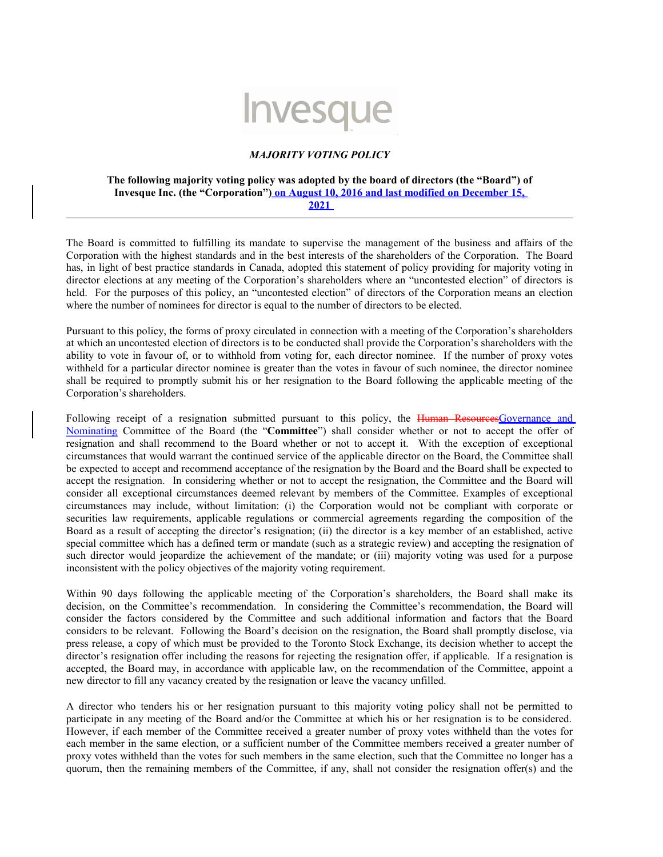## Invesque

## *MAJORITY VOTING POLICY*

## **The following majority voting policy was adopted by the board of directors (the "Board") of Invesque Inc. (the "Corporation") on August 10, 2016 and last modified on December 15, 2021**

The Board is committed to fulfilling its mandate to supervise the management of the business and affairs of the Corporation with the highest standards and in the best interests of the shareholders of the Corporation. The Board has, in light of best practice standards in Canada, adopted this statement of policy providing for majority voting in director elections at any meeting of the Corporation's shareholders where an "uncontested election" of directors is held. For the purposes of this policy, an "uncontested election" of directors of the Corporation means an election where the number of nominees for director is equal to the number of directors to be elected.

Pursuant to this policy, the forms of proxy circulated in connection with a meeting of the Corporation's shareholders at which an uncontested election of directors is to be conducted shall provide the Corporation's shareholders with the ability to vote in favour of, or to withhold from voting for, each director nominee. If the number of proxy votes withheld for a particular director nominee is greater than the votes in favour of such nominee, the director nominee shall be required to promptly submit his or her resignation to the Board following the applicable meeting of the Corporation's shareholders.

Following receipt of a resignation submitted pursuant to this policy, the Human ResourcesGovernance and Nominating Committee of the Board (the "**Committee**") shall consider whether or not to accept the offer of resignation and shall recommend to the Board whether or not to accept it. With the exception of exceptional circumstances that would warrant the continued service of the applicable director on the Board, the Committee shall be expected to accept and recommend acceptance of the resignation by the Board and the Board shall be expected to accept the resignation. In considering whether or not to accept the resignation, the Committee and the Board will consider all exceptional circumstances deemed relevant by members of the Committee. Examples of exceptional circumstances may include, without limitation: (i) the Corporation would not be compliant with corporate or securities law requirements, applicable regulations or commercial agreements regarding the composition of the Board as a result of accepting the director's resignation; (ii) the director is a key member of an established, active special committee which has a defined term or mandate (such as a strategic review) and accepting the resignation of such director would jeopardize the achievement of the mandate; or (iii) majority voting was used for a purpose inconsistent with the policy objectives of the majority voting requirement.

Within 90 days following the applicable meeting of the Corporation's shareholders, the Board shall make its decision, on the Committee's recommendation. In considering the Committee's recommendation, the Board will consider the factors considered by the Committee and such additional information and factors that the Board considers to be relevant. Following the Board's decision on the resignation, the Board shall promptly disclose, via press release, a copy of which must be provided to the Toronto Stock Exchange, its decision whether to accept the director's resignation offer including the reasons for rejecting the resignation offer, if applicable. If a resignation is accepted, the Board may, in accordance with applicable law, on the recommendation of the Committee, appoint a new director to fill any vacancy created by the resignation or leave the vacancy unfilled.

A director who tenders his or her resignation pursuant to this majority voting policy shall not be permitted to participate in any meeting of the Board and/or the Committee at which his or her resignation is to be considered. However, if each member of the Committee received a greater number of proxy votes withheld than the votes for each member in the same election, or a sufficient number of the Committee members received a greater number of proxy votes withheld than the votes for such members in the same election, such that the Committee no longer has a quorum, then the remaining members of the Committee, if any, shall not consider the resignation offer(s) and the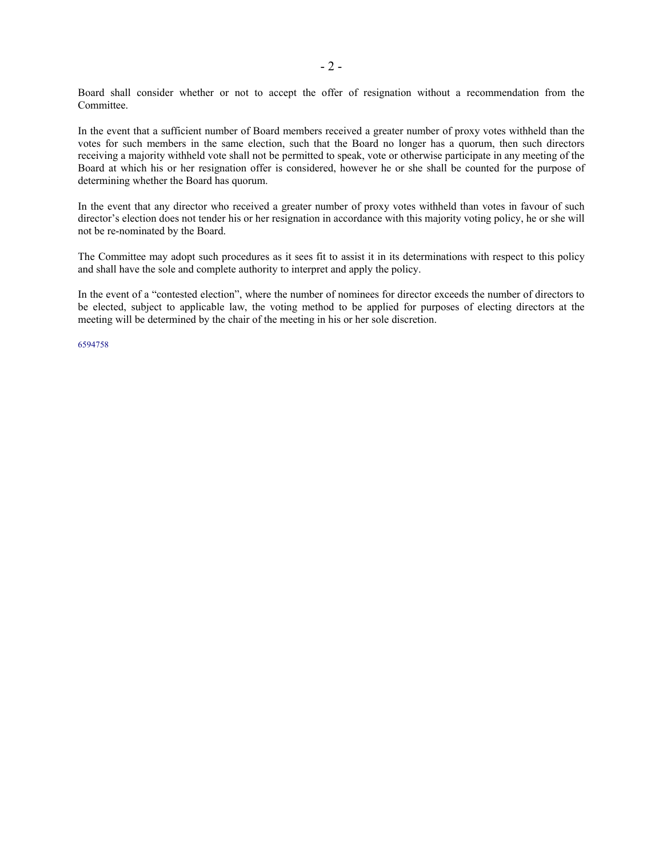Board shall consider whether or not to accept the offer of resignation without a recommendation from the Committee.

In the event that a sufficient number of Board members received a greater number of proxy votes withheld than the votes for such members in the same election, such that the Board no longer has a quorum, then such directors receiving a majority withheld vote shall not be permitted to speak, vote or otherwise participate in any meeting of the Board at which his or her resignation offer is considered, however he or she shall be counted for the purpose of determining whether the Board has quorum.

In the event that any director who received a greater number of proxy votes withheld than votes in favour of such director's election does not tender his or her resignation in accordance with this majority voting policy, he or she will not be re-nominated by the Board.

The Committee may adopt such procedures as it sees fit to assist it in its determinations with respect to this policy and shall have the sole and complete authority to interpret and apply the policy.

In the event of a "contested election", where the number of nominees for director exceeds the number of directors to be elected, subject to applicable law, the voting method to be applied for purposes of electing directors at the meeting will be determined by the chair of the meeting in his or her sole discretion.

6594758